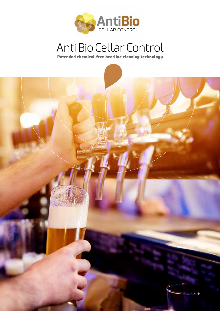

# Anti Bio Cellar Control

Patended chemical-free beerline cleaning technology.

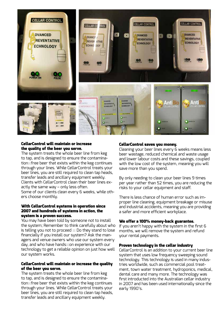

# CellarControl will maintain or increase the quality of the beer you serve.

The system treats the whole beer line from keg to tap, and is designed to ensure the contamination $\boxtimes$  free beer that exists within the keg continues through your lines. While CellarControl treats your beer lines, you are still required to clean tap heads, transfer leads and ancillary equipment weekly. Clients with CellarControl clean their beer lines exactly the same way – only less often.

Some of our clients clean every 6 weeks, while others choose monthly.

# With CellarControl systems in operation since 2007 and hundreds of systems in action, the system is a proven success.

You may have been told by someone not to install the system; Remember to think carefully about who is telling you not to proceed  $\boxtimes$  Do they stand to lose financially if you install our system? Ask the managers and venue owners who use our system every day, and who have hands $\boxtimes$ on experience with our technology to get a reliable opinion on just how well our system works.

# CellarControl will maintain or increase the quality of the beer you serve.

The system treats the whole beer line from keg to tap, and is designed to ensure the contamination $\boxtimes$  free beer that exists within the keg continues through your lines. While CellarControl treats your beer lines, you are still required to clean tap heads, transfer leads and ancillary equipment weekly.

# CellarControl saves you money.

Cleaning your beer lines every 6 weeks means less beer wastage, reduced chemical and waste usage and lower labour costs and these savings, coupled with the low cost of the system, meaning you will save more than you spend.

By only needing to clean your beer lines 9 times per year rather than 52 times, you are reducing the risks to your cellar equipment and staff.

There is less chance of human error such as improper line cleaning, equipment breakage or misuse and industrial accidents, meaning you are providing a safer and more efficient workplace.

# We offer a 100% money-back guarantee.

If you aren't happy with the system in the first 6 months, we will remove the system and refund your rental payments.

# Proven technology in the cellar industry

CellarControl is an addition to your current beer line system that uses low frequency sweeping sound technology. This technology is used in many industries worldwide, such as commercial pool treatment, town water treatment, hydroponics, medical, dental care and many more. The technology was first introducted into the Australian cellar industry in 2007 and has been used internationally since the early 1990's.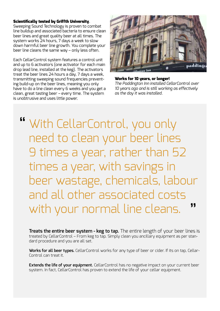# Scientifically tested by Griffth University.

Sweeping Sound Technology is proven to combat line buildup and associated bacteria to ensure clean beer lines and great quality beer at all times. The system works 24 hours, 7 days a week to slow down harmful beer line growth. You complete your beer line cleans the same way – only less often.

Each CellarControl system features a control unit and up to 6 activators (one activator for each main drop lead line, installed at the keg). The activators treat the beer lines 24 hours a day, 7 days a week, transmitting sweeping sound frequencies preventing build-up on the beer lines, meaning you only have to do a line clean every 6 weeks and you get a clean, great tasting beer – every time. The system is unobtrusive and uses little power.



Works for 10 years, or longer!

*The Paddington Inn installed CellarControl over 10 years ago and is still working as effectively as the day it was installed.*

With CellarControl, you only " need to clean your beer lines 9 times a year, rather than 52 times a year, with savings in beer wastage, chemicals, labour and all other associated costs with your normal line cleans. "

**Treats the entire beer system - keg to tap.** The entire length of your beer lines is treated by CellarControl – From keg to tap. Simply clean you ancillary equipment as per standard procedure and you are all set.

**Works for all beer types.** CellarControl works for any type of beer or cider. If its on tap, Cellar-Control can treat it.

**Extends the life of your equipment.** CellarControl has no negative impact on your current beer system. In fact, CellarControl has proven to extend the life of your cellar equipment.